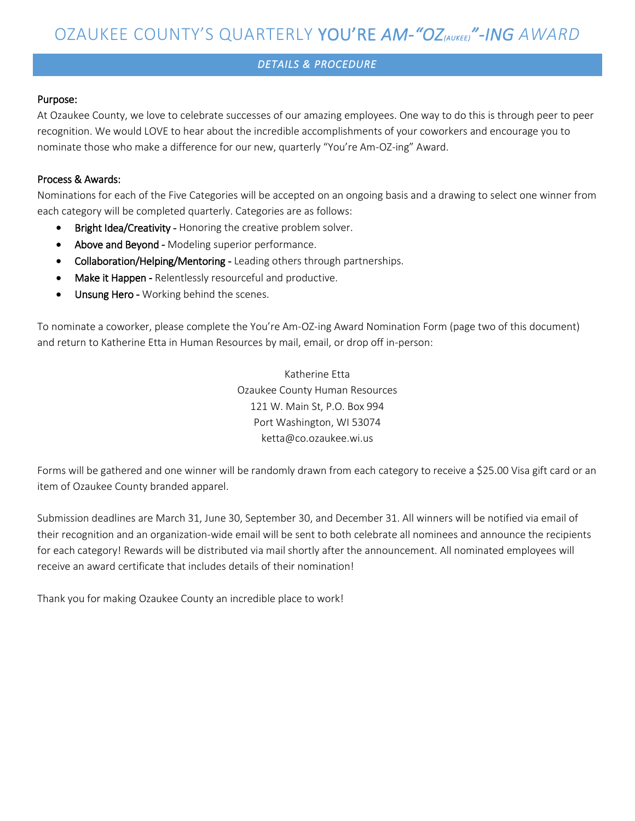### *DETAILS & PROCEDURE*

#### Purpose:

At Ozaukee County, we love to celebrate successes of our amazing employees. One way to do this is through peer to peer recognition. We would LOVE to hear about the incredible accomplishments of your coworkers and encourage you to nominate those who make a difference for our new, quarterly "You're Am-OZ-ing" Award.

#### Process & Awards:

Nominations for each of the Five Categories will be accepted on an ongoing basis and a drawing to select one winner from each category will be completed quarterly. Categories are as follows:

- Bright Idea/Creativity Honoring the creative problem solver.
- Above and Beyond Modeling superior performance.
- Collaboration/Helping/Mentoring Leading others through partnerships.
- Make it Happen Relentlessly resourceful and productive.
- Unsung Hero Working behind the scenes.

To nominate a coworker, please complete the You're Am-OZ-ing Award Nomination Form (page two of this document) and return to Katherine Etta in Human Resources by mail, email, or drop off in-person:

> Katherine Etta Ozaukee County Human Resources 121 W. Main St, P.O. Box 994 Port Washington, WI 53074 ketta@co.ozaukee.wi.us

Forms will be gathered and one winner will be randomly drawn from each category to receive a \$25.00 Visa gift card or an item of Ozaukee County branded apparel.

Submission deadlines are March 31, June 30, September 30, and December 31. All winners will be notified via email of their recognition and an organization-wide email will be sent to both celebrate all nominees and announce the recipients for each category! Rewards will be distributed via mail shortly after the announcement. All nominated employees will receive an award certificate that includes details of their nomination!

Thank you for making Ozaukee County an incredible place to work!